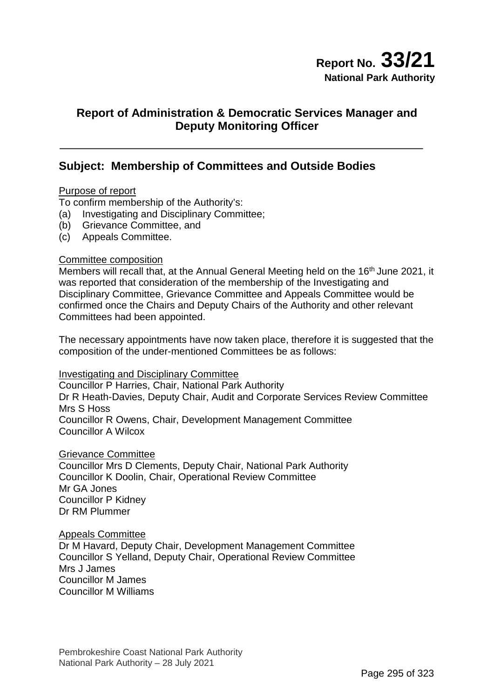# **Report of Administration & Democratic Services Manager and Deputy Monitoring Officer**

## **Subject: Membership of Committees and Outside Bodies**

## Purpose of report

To confirm membership of the Authority's:

- (a) Investigating and Disciplinary Committee;
- (b) Grievance Committee, and
- (c) Appeals Committee.

#### Committee composition

Members will recall that, at the Annual General Meeting held on the 16<sup>th</sup> June 2021, it was reported that consideration of the membership of the Investigating and Disciplinary Committee, Grievance Committee and Appeals Committee would be confirmed once the Chairs and Deputy Chairs of the Authority and other relevant Committees had been appointed.

The necessary appointments have now taken place, therefore it is suggested that the composition of the under-mentioned Committees be as follows:

#### Investigating and Disciplinary Committee

Councillor P Harries, Chair, National Park Authority Dr R Heath-Davies, Deputy Chair, Audit and Corporate Services Review Committee Mrs S Hoss Councillor R Owens, Chair, Development Management Committee Councillor A Wilcox

## Grievance Committee

Councillor Mrs D Clements, Deputy Chair, National Park Authority Councillor K Doolin, Chair, Operational Review Committee Mr GA Jones Councillor P Kidney Dr RM Plummer

#### Appeals Committee

Dr M Havard, Deputy Chair, Development Management Committee Councillor S Yelland, Deputy Chair, Operational Review Committee Mrs J James Councillor M James Councillor M Williams